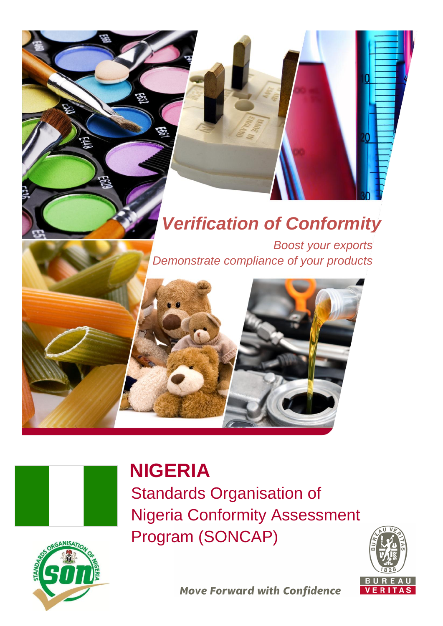# *Verification of Conformity*

*Boost your exports Demonstrate compliance of your products* 





# **NIGERIA**

Standards Organisation of Nigeria Conformity Assessment Program (SONCAP)



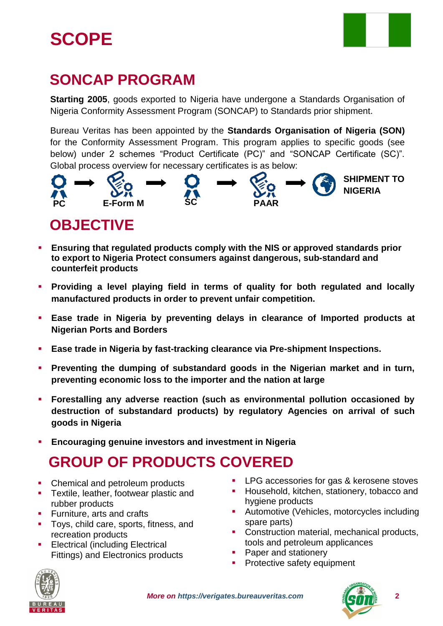# **SCOPE**



## **SONCAP PROGRAM**

**Starting 2005**, goods exported to Nigeria have undergone a Standards Organisation of Nigeria Conformity Assessment Program (SONCAP) to Standards prior shipment.

Bureau Veritas has been appointed by the **Standards Organisation of Nigeria (SON)** for the Conformity Assessment Program. This program applies to specific goods (see below) under 2 schemes "Product Certificate (PC)" and "SONCAP Certificate (SC)". Global process overview for necessary certificates is as below:



### **OBJECTIVE**

- **Ensuring that regulated products comply with the NIS or approved standards prior to export to Nigeria Protect consumers against dangerous, sub-standard and counterfeit products**
- **Providing a level playing field in terms of quality for both regulated and locally manufactured products in order to prevent unfair competition.**
- **Ease trade in Nigeria by preventing delays in clearance of Imported products at Nigerian Ports and Borders**
- **Ease trade in Nigeria by fast-tracking clearance via Pre-shipment Inspections.**
- **Preventing the dumping of substandard goods in the Nigerian market and in turn, preventing economic loss to the importer and the nation at large**
- **Forestalling any adverse reaction (such as environmental pollution occasioned by destruction of substandard products) by regulatory Agencies on arrival of such goods in Nigeria**
- **Encouraging genuine investors and investment in Nigeria**

# **GROUP OF PRODUCTS COVERED**

- Chemical and petroleum products
- **Textile, leather, footwear plastic and** rubber products
- **Furniture, arts and crafts**
- Toys, child care, sports, fitness, and recreation products
- Electrical (including Electrical Fittings) and Electronics products
- **LPG** accessories for gas & kerosene stoves
- Household, kitchen, stationery, tobacco and hygiene products
- **-** Automotive (Vehicles, motorcycles including spare parts)
- **Construction material, mechanical products,** tools and petroleum applicances
- Paper and stationery
- **Protective safety equipment**



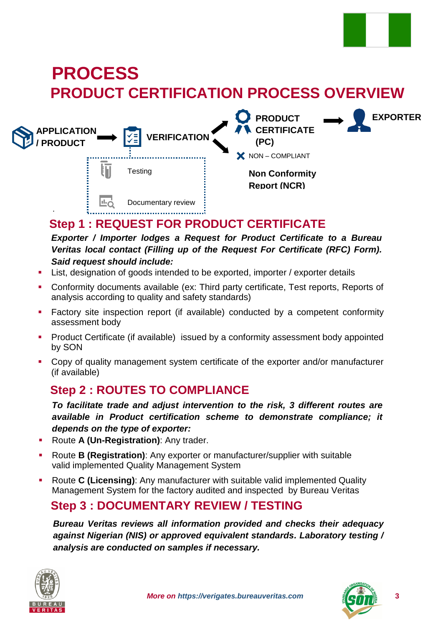

## **PRODUCT CERTIFICATION PROCESS OVERVIEW PROCESS**



### **Step 1 : REQUEST FOR PRODUCT CERTIFICATE**

*Exporter / Importer lodges a Request for Product Certificate to a Bureau Veritas local contact (Filling up of the Request For Certificate (RFC) Form). Said request should include:*

- **EXECT** List, designation of goods intended to be exported, importer / exporter details
- Conformity documents available (ex: Third party certificate, Test reports, Reports of analysis according to quality and safety standards)
- Factory site inspection report (if available) conducted by a competent conformity assessment body
- **Product Certificate (if available) issued by a conformity assessment body appointed** by SON
- Copy of quality management system certificate of the exporter and/or manufacturer (if available)

#### **Step 2 : ROUTES TO COMPLIANCE**

*To facilitate trade and adjust intervention to the risk, 3 different routes are available in Product certification scheme to demonstrate compliance; it depends on the type of exporter:*

- Route **A (Un-Registration)**: Any trader.
- Route **B (Registration)**: Any exporter or manufacturer/supplier with suitable valid implemented Quality Management System
- Route **C (Licensing)**: Any manufacturer with suitable valid implemented Quality Management System for the factory audited and inspected by Bureau Veritas

#### **Step 3 : DOCUMENTARY REVIEW / TESTING**

*Bureau Veritas reviews all information provided and checks their adequacy against Nigerian (NIS) or approved equivalent standards. Laboratory testing / analysis are conducted on samples if necessary.*



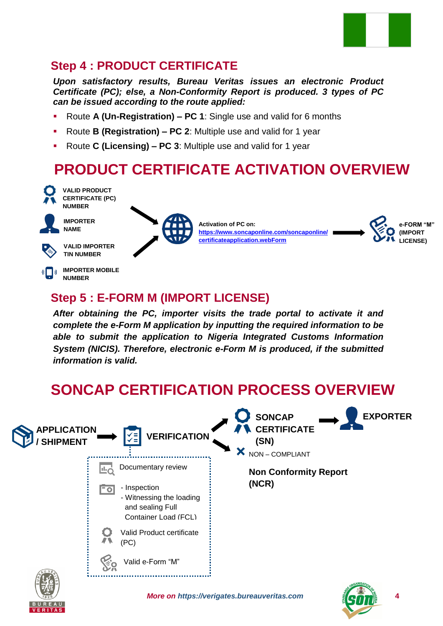

### **Step 4 : PRODUCT CERTIFICATE**

*Upon satisfactory results, Bureau Veritas issues an electronic Product Certificate (PC); else, a Non-Conformity Report is produced. 3 types of PC can be issued according to the route applied:*

- Route **A (Un-Registration) – PC 1**: Single use and valid for 6 months
- Route **B (Registration) – PC 2**: Multiple use and valid for 1 year
- Route **C (Licensing) – PC 3**: Multiple use and valid for 1 year

#### **PRODUCT CERTIFICATE ACTIVATION OVERVIEW** l.



**CERTIFICATE (PC) NUMBER**

**VALID PRODUCT** 



**IMPORTER NAME**



**VALID IMPORTER TIN NUMBER**

**IMPORTER MOBILE**   $\left(\begin{array}{c} \bullet \\ \bullet \end{array}\right)$ **NUMBER**



**Activation of PC on: [https://www.soncaponline.com/soncaponline/](https://www.soncaponline.com/soncaponline/certificateapplication.webForm) [certificateapplication.webForm](https://www.soncaponline.com/soncaponline/certificateapplication.webForm)**



#### **Step 5 : E-FORM M (IMPORT LICENSE)**

*After obtaining the PC, importer visits the trade portal to activate it and complete the e-Form M application by inputting the required information to be able to submit the application to Nigeria Integrated Customs Information System (NICIS). Therefore, electronic e-Form M is produced, if the submitted information is valid.*

## **SONCAP CERTIFICATION PROCESS OVERVIEW**





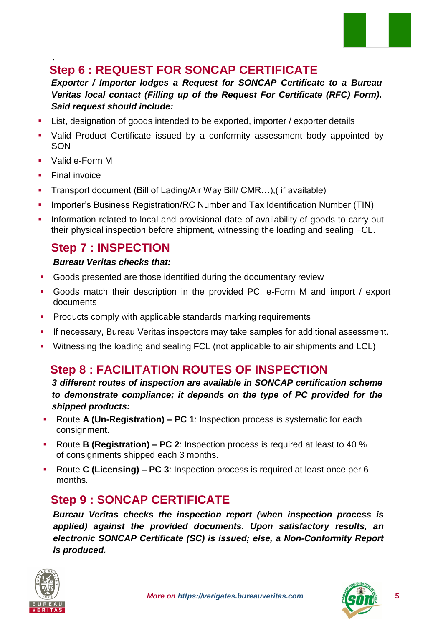

#### . **Step 6 : REQUEST FOR SONCAP CERTIFICATE**

*Exporter / Importer lodges a Request for SONCAP Certificate to a Bureau Veritas local contact (Filling up of the Request For Certificate (RFC) Form). Said request should include:*

- List, designation of goods intended to be exported, importer / exporter details
- Valid Product Certificate issued by a conformity assessment body appointed by **SON**
- Valid e-Form M
- Final invoice
- Transport document (Bill of Lading/Air Way Bill/ CMR…),( if available)
- **IMPORTER** Integrals and Tax Identification Number (TIN) **Integrals** 1 Integration 2 Integrals 2 Integrals 2 Integrals 2 Integrals 2 Integrals 2 Integrals 2 Integrals 2 Integrals 2 Integrals 2 Integrals 2 Integrals 2 Integ
- Information related to local and provisional date of availability of goods to carry out their physical inspection before shipment, witnessing the loading and sealing FCL.

#### **Step 7 : INSPECTION**

#### *Bureau Veritas checks that:*

- Goods presented are those identified during the documentary review
- Goods match their description in the provided PC, e-Form M and import / export documents
- **Products comply with applicable standards marking requirements**
- **If necessary, Bureau Veritas inspectors may take samples for additional assessment.**
- Witnessing the loading and sealing FCL (not applicable to air shipments and LCL)

### **Step 8 : FACILITATION ROUTES OF INSPECTION**

*3 different routes of inspection are available in SONCAP certification scheme to demonstrate compliance; it depends on the type of PC provided for the shipped products:*

- Route **A (Un-Registration) PC 1**: Inspection process is systematic for each consignment.
- Route **B (Registration) – PC 2**: Inspection process is required at least to 40 % of consignments shipped each 3 months.
- Route **C (Licensing) – PC 3**: Inspection process is required at least once per 6 months.

### **Step 9 : SONCAP CERTIFICATE**

*Bureau Veritas checks the inspection report (when inspection process is applied) against the provided documents. Upon satisfactory results, an electronic SONCAP Certificate (SC) is issued; else, a Non-Conformity Report is produced.*